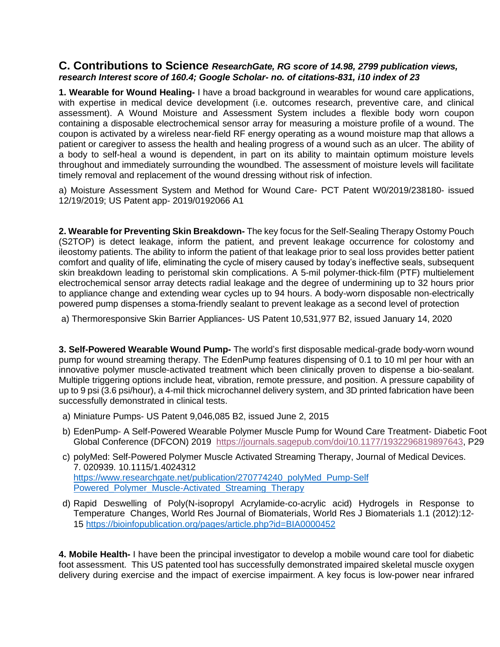## **C. Contributions to Science** *ResearchGate, RG score of 14.98, 2799 publication views, research Interest score of 160.4; Google Scholar- no. of citations-831, i10 index of 23*

**1. Wearable for Wound Healing-** I have a broad background in wearables for wound care applications, with expertise in medical device development (i.e. outcomes research, preventive care, and clinical assessment). A Wound Moisture and Assessment System includes a flexible body worn coupon containing a disposable electrochemical sensor array for measuring a moisture profile of a wound. The coupon is activated by a wireless near-field RF energy operating as a wound moisture map that allows a patient or caregiver to assess the health and healing progress of a wound such as an ulcer. The ability of a body to self-heal a wound is dependent, in part on its ability to maintain optimum moisture levels throughout and immediately surrounding the woundbed. The assessment of moisture levels will facilitate timely removal and replacement of the wound dressing without risk of infection.

a) Moisture Assessment System and Method for Wound Care- PCT Patent W0/2019/238180- issued 12/19/2019; US Patent app- 2019/0192066 A1

**2. Wearable for Preventing Skin Breakdown-** The key focus for the Self-Sealing Therapy Ostomy Pouch (S2TOP) is detect leakage, inform the patient, and prevent leakage occurrence for colostomy and ileostomy patients. The ability to inform the patient of that leakage prior to seal loss provides better patient comfort and quality of life, eliminating the cycle of misery caused by today's ineffective seals, subsequent skin breakdown leading to peristomal skin complications. A 5-mil polymer-thick-film (PTF) multielement electrochemical sensor array detects radial leakage and the degree of undermining up to 32 hours prior to appliance change and extending wear cycles up to 94 hours. A body-worn disposable non-electrically powered pump dispenses a stoma-friendly sealant to prevent leakage as a second level of protection

a) Thermoresponsive Skin Barrier Appliances- US Patent 10,531,977 B2, issued January 14, 2020

**3. Self-Powered Wearable Wound Pump-** The world's first disposable medical-grade body-worn wound pump for wound streaming therapy. The EdenPump features dispensing of 0.1 to 10 ml per hour with an innovative polymer muscle-activated treatment which been clinically proven to dispense a bio-sealant. Multiple triggering options include heat, vibration, remote pressure, and position. A pressure capability of up to 9 psi (3.6 psi/hour), a 4-mil thick microchannel delivery system, and 3D printed fabrication have been successfully demonstrated in clinical tests.

- a) Miniature Pumps- US Patent 9,046,085 B2, issued June 2, 2015
- b) EdenPump- A Self-Powered Wearable Polymer Muscle Pump for Wound Care Treatment- Diabetic Foot Global Conference (DFCON) 2019 [https://journals.sagepub.com/doi/10.1177/1932296819897643,](https://journals.sagepub.com/doi/10.1177/1932296819897643) P29
- c) polyMed: Self-Powered Polymer Muscle Activated Streaming Therapy, Journal of Medical Devices. 7. 020939. 10.1115/1.4024312 [https://www.researchgate.net/publication/270774240\\_polyMed\\_Pump-Self](https://www.researchgate.net/publication/270774240_polyMed_Pump-Self%20Powered_Polymer_Muscle-Activated_Streaming_Therapy) Powered Polymer Muscle-Activated Streaming Therapy
- d) Rapid Deswelling of Poly(N-isopropyl Acrylamide-co-acrylic acid) Hydrogels in Response to Temperature Changes, World Res Journal of Biomaterials, World Res J Biomaterials 1.1 (2012):12- 15 <https://bioinfopublication.org/pages/article.php?id=BIA0000452>

**4. Mobile Health-** I have been the principal investigator to develop a mobile wound care tool for diabetic foot assessment. This US patented tool has successfully demonstrated impaired skeletal muscle oxygen delivery during exercise and the impact of exercise impairment. A key focus is low-power near infrared